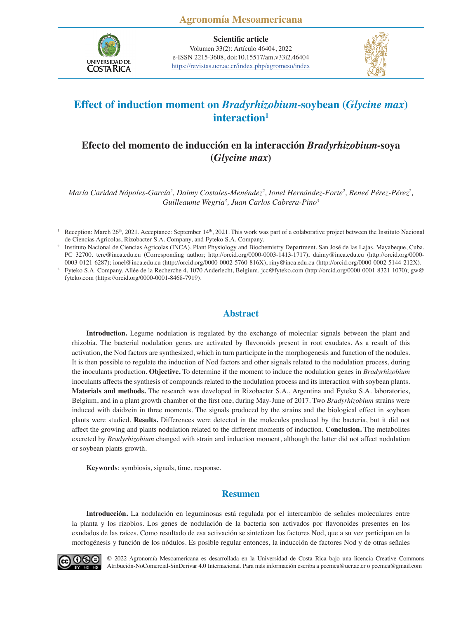

**Scientific article** Volumen 33(2): Artículo 46404, 2022 e-ISSN 2215-3608, doi:10.15517/am.v33i2.46404 <https://revistas.ucr.ac.cr/index.php/agromeso/index>



# **Effect of induction moment on** *Bradyrhizobium***-soybean (***Glycine max***)**  interaction<sup>1</sup>

# **Efecto del momento de inducción en la interacción** *Bradyrhizobium***-soya (***Glycine max***)**

*María Caridad Nápoles-García2 , Daimy Costales-Menéndez2 , Ionel Hernández-Forte2 , Reneé Pérez-Pérez2 , Guilleaume Wegria3 , Juan Carlos Cabrera-Pino3*

## **Abstract**

**Introduction.** Legume nodulation is regulated by the exchange of molecular signals between the plant and rhizobia. The bacterial nodulation genes are activated by flavonoids present in root exudates. As a result of this activation, the Nod factors are synthesized, which in turn participate in the morphogenesis and function of the nodules. It is then possible to regulate the induction of Nod factors and other signals related to the nodulation process, during the inoculants production. **Objective.** To determine if the moment to induce the nodulation genes in *Bradyrhizobium*  inoculants affects the synthesis of compounds related to the nodulation process and its interaction with soybean plants. **Materials and methods.** The research was developed in Rizobacter S.A., Argentina and Fyteko S.A. laboratories, Belgium, and in a plant growth chamber of the first one, during May-June of 2017. Two *Bradyrhizobium* strains were induced with daidzein in three moments. The signals produced by the strains and the biological effect in soybean plants were studied. **Results.** Differences were detected in the molecules produced by the bacteria, but it did not affect the growing and plants nodulation related to the different moments of induction. **Conclusion.** The metabolites excreted by *Bradyrhizobium* changed with strain and induction moment, although the latter did not affect nodulation or soybean plants growth.

**Keywords**: symbiosis, signals, time, response.

## **Resumen**

**Introducción.** La nodulación en leguminosas está regulada por el intercambio de señales moleculares entre la planta y los rizobios. Los genes de nodulación de la bacteria son activados por flavonoides presentes en los exudados de las raíces. Como resultado de esa activación se sintetizan los factores Nod, que a su vez participan en la morfogénesis y función de los nódulos. Es posible regular entonces, la inducción de factores Nod y de otras señales



[© 2022 Agronomía Mesoamericana es desarrollada en la Universidad de Costa Rica bajo una licencia Creative Commons](https://creativecommons.org/licenses/by-nc-nd/4.0/)  Atribución-NoComercial-SinDerivar 4.0 Internacional. Para más información escriba a pccmca@ucr.ac.cr o pccmca@gmail.com

<sup>&</sup>lt;sup>1</sup> Reception: March 26<sup>th</sup>, 2021. Acceptance: September 14<sup>th</sup>, 2021. This work was part of a colaborative project between the Instituto Nacional de Ciencias Agricolas, Rizobacter S.A. Company, and Fyteko S.A. Company.

<sup>&</sup>lt;sup>2</sup> Instituto Nacional de Ciencias Agricolas (INCA), Plant Physiology and Biochemistry Department. San José de las Lajas. Mayabeque, Cuba. PC 32700. tere@inca.edu.cu (Corresponding author; http://orcid.org/0000-0003-1413-1717); daimy@inca.edu.cu (http://orcid.org/0000- 0003-0121-6287); ionel@inca.edu.cu (http://orcid.org/0000-0002-5760-816X), riny@inca.edu.cu (http://orcid.org/0000-0002-5144-212X).

<sup>3</sup> Fyteko S.A. Company. Allée de la Recherche 4, 1070 Anderlecht, Belgium. jcc@fyteko.com (http://orcid.org/0000-0001-8321-1070); gw@ fyteko.com (https://orcid.org/0000-0001-8468-7919).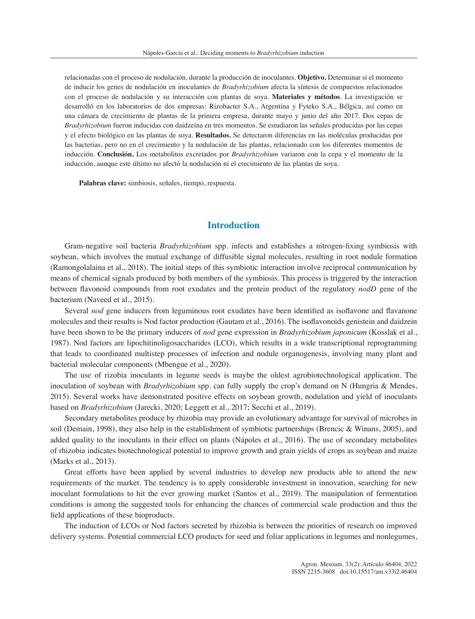relacionadas con el proceso de nodulación, durante la producción de inoculantes. **Objetivo.** Determinar si el momento de inducir los genes de nodulación en inoculantes de *Bradyrhizobium* afecta la síntesis de compuestos relacionados con el proceso de nodulación y su interacción con plantas de soya. **Materiales y métodos**. La investigación se desarrolló en los laboratorios de dos empresas: Rizobacter S.A., Argentina y Fyteko S.A., Bélgica, así como en una cámara de crecimiento de plantas de la primera empresa, durante mayo y junio del año 2017. Dos cepas de *Bradyrhizobium* fueron inducidas con daidzeína en tres momentos. Se estudiaron las señales producidas por las cepas y el efecto biológico en las plantas de soya. **Resultados.** Se detectaron diferencias en las moléculas producidas por las bacterias, pero no en el crecimiento y la nodulación de las plantas, relacionado con los diferentes momentos de inducción. **Conclusión.** Los metabolitos excretados por *Bradyrhizobium* variaron con la cepa y el momento de la inducción, aunque este último no afectó la nodulación ni el crecimiento de las plantas de soya.

**Palabras clave:** simbiosis, señales, tiempo, respuesta.

## **Introduction**

Gram-negative soil bacteria *Bradyrhizobium* spp. infects and establishes a nitrogen-fixing symbiosis with soybean, which involves the mutual exchange of diffusible signal molecules, resulting in root nodule formation (Ramongolalaina et al., 2018). The initial steps of this symbiotic interaction involve reciprocal communication by means of chemical signals produced by both members of the symbiosis. This process is triggered by the interaction between flavonoid compounds from root exudates and the protein product of the regulatory *nodD* gene of the bacterium (Naveed et al., 2015).

Several *nod* gene inducers from leguminous root exudates have been identified as isoflavone and flavanone molecules and their results is Nod factor production (Gautam et al., 2016). The isoflavonoids genistein and daidzein have been shown to be the primary inducers of *nod* gene expression in *Bradyrhizobium japonicum* (Kosslak et al., 1987). Nod factors are lipochitinoligosaccharides (LCO), which results in a wide transcriptional reprogramming that leads to coordinated multistep processes of infection and nodule organogenesis, involving many plant and bacterial molecular components (Mbengue et al., 2020).

The use of rizobia inoculants in legume seeds is maybe the oldest agrobiotechnological application. The inoculation of soybean with *Bradyrhizobium* spp. can fully supply the crop's demand on N (Hungria & Mendes, 2015). Several works have demonstrated positive effects on soybean growth, nodulation and yield of inoculants based on *Bradyrhizobium* (Jarecki, 2020; Leggett et al., 2017; Secchi et al., 2019).

Secondary metabolites produce by rhizobia may provide an evolutionary advantage for survival of microbes in soil (Demain, 1998), they also help in the establishment of symbiotic partnerships (Brencic & Winans, 2005), and added quality to the inoculants in their effect on plants (Nápoles et al., 2016). The use of secondary metabolites of rhizobia indicates biotechnological potential to improve growth and grain yields of crops as soybean and maize (Marks et al., 2013).

Great efforts have been applied by several industries to develop new products able to attend the new requirements of the market. The tendency is to apply considerable investment in innovation, searching for new inoculant formulations to hit the ever growing market (Santos et al., 2019). The manipulation of fermentation conditions is among the suggested tools for enhancing the chances of commercial scale production and thus the field applications of these bioproducts.

The induction of LCOs or Nod factors secreted by rhizobia is between the priorities of research on improved delivery systems. Potential commercial LCO products for seed and foliar applications in legumes and nonlegumes,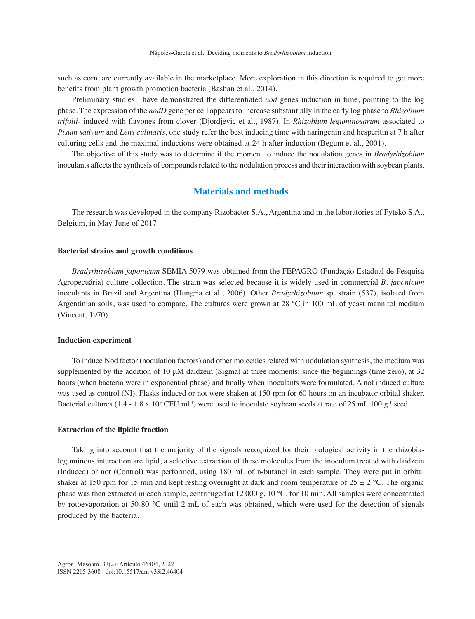such as corn, are currently available in the marketplace. More exploration in this direction is required to get more benefits from plant growth promotion bacteria (Bashan et al., 2014).

Preliminary studies, have demonstrated the differentiated *nod* genes induction in time, pointing to the log phase. The expression of the *nodD* gene per cell appears to increase substantially in the early log phase to *Rhizobium trifolii-* induced with flavones from clover (Djordjevic et al., 1987). In *Rhizobium leguminosarum* associated to *Pisum sativum* and *Lens culinaris*, one study refer the best inducing time with naringenin and hesperitin at 7 h after culturing cells and the maximal inductions were obtained at 24 h after induction (Begum et al., 2001).

The objective of this study was to determine if the moment to induce the nodulation genes in *Bradyrhizobium* inoculants affects the synthesis of compounds related to the nodulation process and their interaction with soybean plants.

### **Materials and methods**

The research was developed in the company Rizobacter S.A., Argentina and in the laboratories of Fyteko S.A., Belgium, in May-June of 2017.

#### **Bacterial strains and growth conditions**

*Bradyrhizobium japonicum* SEMIA 5079 was obtained from the FEPAGRO (Fundação Estadual de Pesquisa Agropecuária) culture collection. The strain was selected because it is widely used in commercial *B. japonicum* inoculants in Brazil and Argentina (Hungria et al., 2006). Other *Bradyrhizobium* sp. strain (537), isolated from Argentinian soils, was used to compare. The cultures were grown at 28 °C in 100 mL of yeast mannitol medium (Vincent, 1970).

#### **Induction experiment**

To induce Nod factor (nodulation factors) and other molecules related with nodulation synthesis, the medium was supplemented by the addition of 10 μM daidzein (Sigma) at three moments: since the beginnings (time zero), at 32 hours (when bacteria were in exponential phase) and finally when inoculants were formulated. A not induced culture was used as control (NI). Flasks induced or not were shaken at 150 rpm for 60 hours on an incubator orbital shaker. Bacterial cultures  $(1.4 - 1.8 \times 10^{9} \text{ CFU ml}^{-1})$  were used to inoculate soybean seeds at rate of 25 mL 100 g<sup>-1</sup> seed.

#### **Extraction of the lipidic fraction**

Taking into account that the majority of the signals recognized for their biological activity in the rhizobialeguminous interaction are lipid, a selective extraction of these molecules from the inoculum treated with daidzein (Induced) or not (Control) was performed, using 180 mL of n-butanol in each sample. They were put in orbital shaker at 150 rpm for 15 min and kept resting overnight at dark and room temperature of  $25 \pm 2$  °C. The organic phase was then extracted in each sample, centrifuged at 12 000 g, 10 °C, for 10 min. All samples were concentrated by rotoevaporation at 50-80 °C until 2 mL of each was obtained, which were used for the detection of signals produced by the bacteria.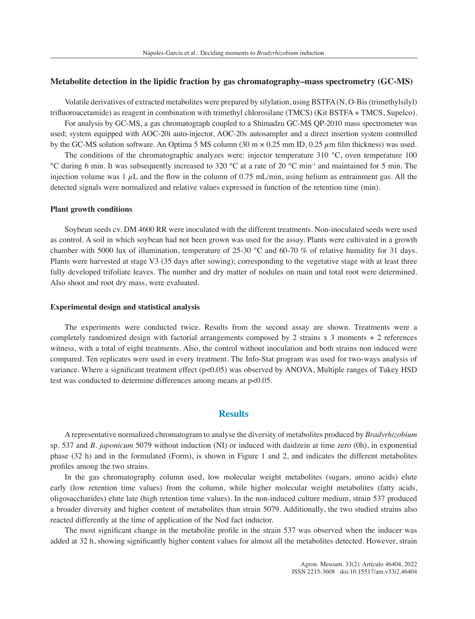#### **Metabolite detection in the lipidic fraction by gas chromatography–mass spectrometry (GC-MS)**

Volatile derivatives of extracted metabolites were prepared by silylation, using BSTFA (N, O-Bis (trimethylsilyl) trifluoroacetamide) as reagent in combination with trimethyl chlorosilane (TMCS) (Kit BSTFA + TMCS, Supelco).

For analysis by GC-MS, a gas chromatograph coupled to a Shimadzu GC-MS QP-2010 mass spectrometer was used; system equipped with AOC-20i auto-injector, AOC-20s autosampler and a direct insertion system controlled by the GC-MS solution software. An Optima 5 MS column  $(30 \text{ m} \times 0.25 \text{ mm} \text{ ID}, 0.25 \mu \text{m} \text{ film thickness})$  was used.

The conditions of the chromatographic analyzes were: injector temperature 310 °C, oven temperature 100 °C during 6 min. It was subsequently increased to 320 °C at a rate of 20 °C min-1 and maintained for 5 min. The injection volume was 1  $\mu$ L and the flow in the column of 0.75 mL/min, using helium as entrainment gas. All the detected signals were normalized and relative values expressed in function of the retention time (min).

#### **Plant growth conditions**

Soybean seeds cv. DM 4600 RR were inoculated with the different treatments. Non-inoculated seeds were used as control. A soil in which soybean had not been grown was used for the assay. Plants were cultivated in a growth chamber with 5000 lux of illumination, temperature of 25-30  $^{\circ}$ C and 60-70 % of relative humidity for 31 days. Plants were harvested at stage V3 (35 days after sowing); corresponding to the vegetative stage with at least three fully developed trifoliate leaves. The number and dry matter of nodules on main and total root were determined. Also shoot and root dry mass, were evaluated.

#### **Experimental design and statistical analysis**

The experiments were conducted twice. Results from the second assay are shown. Treatments were a completely randomized design with factorial arrangements composed by 2 strains x 3 moments + 2 references witness, with a total of eight treatments. Also, the control without inoculation and both strains non induced were compared. Ten replicates were used in every treatment. The Info-Stat program was used for two-ways analysis of variance. Where a significant treatment effect  $(p<0.05)$  was observed by ANOVA, Multiple ranges of Tukey HSD test was conducted to determine differences among means at p<0.05.

### **Results**

A representative normalized chromatogram to analyse the diversity of metabolites produced by *Bradyrhizobium* sp. 537 and *B*. *japonicum* 5079 without induction (NI) or induced with daidzein at time zero (0h), in exponential phase (32 h) and in the formulated (Form), is shown in Figure 1 and 2, and indicates the different metabolites profiles among the two strains.

In the gas chromatography column used, low molecular weight metabolites (sugars, amino acids) elute early (low retention time values) from the column, while higher molecular weight metabolites (fatty acids, oligosaccharides) elute late (high retention time values). In the non-induced culture medium, strain 537 produced a broader diversity and higher content of metabolites than strain 5079. Additionally, the two studied strains also reacted differently at the time of application of the Nod fact inductor.

The most significant change in the metabolite profile in the strain 537 was observed when the inducer was added at 32 h, showing significantly higher content values for almost all the metabolites detected. However, strain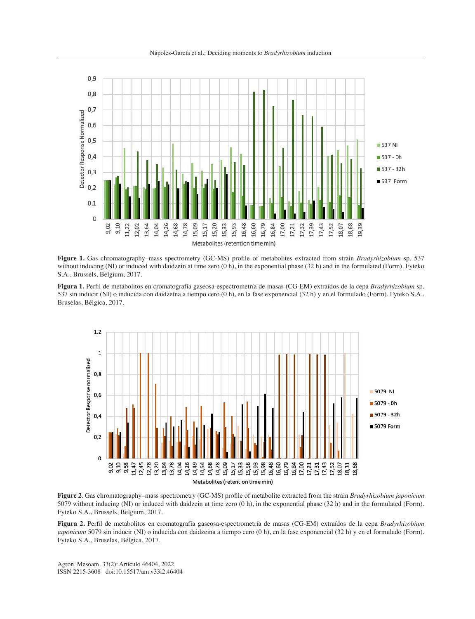



**Figure 1.** Gas chromatography–mass spectrometry (GC-MS) profile of metabolites extracted from strain *Bradyrhizobium* sp. 537 without inducing (NI) or induced with daidzein at time zero (0 h), in the exponential phase (32 h) and in the formulated (Form). Fyteko S.A., Brussels, Belgium, 2017.

**Figura 1.** Perfil de metabolitos en cromatografía gaseosa-espectrometría de masas (CG-EM) extraídos de la cepa *Bradyrhizobium* sp. 537 sin inducir (NI) o inducida con daidzeína a tiempo cero (0 h), en la fase exponencial (32 h) y en el formulado (Form). Fyteko S.A., Bruselas, Bélgica, 2017.



**Figure 2**. Gas chromatography–mass spectrometry (GC-MS) profile of metabolite extracted from the strain *Bradyrhizobium japonicum* 5079 without inducing (NI) or induced with daidzein at time zero (0 h), in the exponential phase (32 h) and in the formulated (Form). Fyteko S.A., Brussels, Belgium, 2017.

**Figura 2.** Perfil de metabolitos en cromatografía gaseosa-espectrometría de masas (CG-EM) extraídos de la cepa *Bradyrhizobium japonicum* 5079 sin inducir (NI) o inducida con daidzeína a tiempo cero (0 h), en la fase exponencial (32 h) y en el formulado (Form). Fyteko S.A., Bruselas, Bélgica, 2017.

Agron. Mesoam. 33(2): Artículo 46404, 2022 ISSN 2215-3608 doi:10.15517/am.v33i2.46404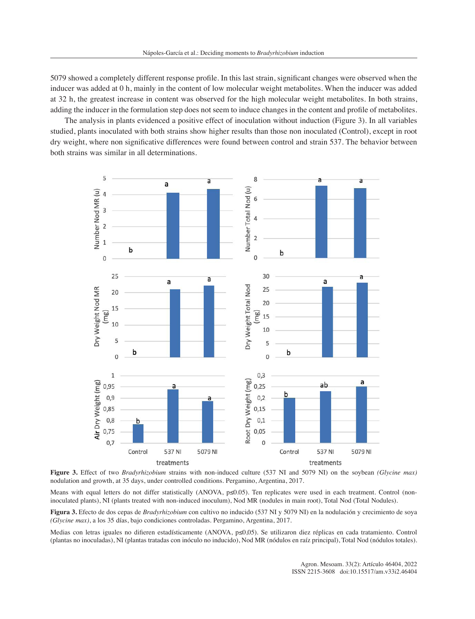5079 showed a completely different response profile. In this last strain, significant changes were observed when the inducer was added at 0 h, mainly in the content of low molecular weight metabolites. When the inducer was added at 32 h, the greatest increase in content was observed for the high molecular weight metabolites. In both strains, adding the inducer in the formulation step does not seem to induce changes in the content and profile of metabolites.

The analysis in plants evidenced a positive effect of inoculation without induction (Figure 3). In all variables studied, plants inoculated with both strains show higher results than those non inoculated (Control), except in root dry weight, where non significative differences were found between control and strain 537. The behavior between both strains was similar in all determinations.



**Figure 3.** Effect of two *Bradyrhizobium* strains with non-induced culture (537 NI and 5079 NI) on the soybean *(Glycine max)* nodulation and growth, at 35 days, under controlled conditions. Pergamino, Argentina, 2017.

Means with equal letters do not differ statistically (ANOVA, p≤0.05). Ten replicates were used in each treatment. Control (noninoculated plants), NI (plants treated with non-induced inoculum), Nod MR (nodules in main root), Total Nod (Total Nodules).

**Figura 3.** Efecto de dos cepas de *Bradyrhizobium* con cultivo no inducido (537 NI y 5079 NI) en la nodulación y crecimiento de soya *(Glycine max)*, a los 35 días, bajo condiciones controladas. Pergamino, Argentina, 2017.

Medias con letras iguales no difieren estadísticamente (ANOVA, p≤0,05). Se utilizaron diez réplicas en cada tratamiento. Control (plantas no inoculadas), NI (plantas tratadas con inóculo no inducido), Nod MR (nódulos en raíz principal), Total Nod (nódulos totales).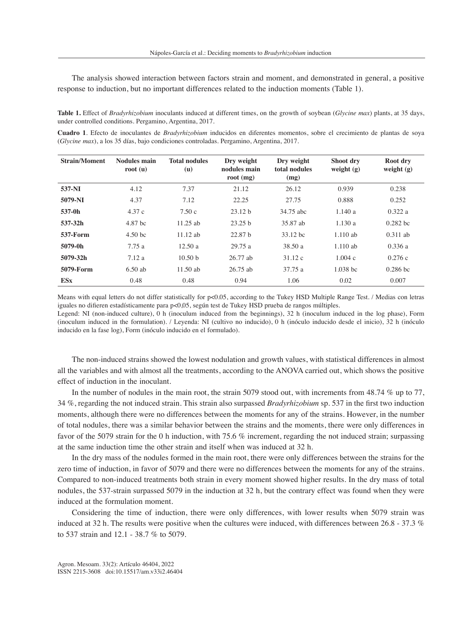The analysis showed interaction between factors strain and moment, and demonstrated in general, a positive response to induction, but no important differences related to the induction moments (Table 1).

**Table 1.** Effect of *Bradyrhizobium* inoculants induced at different times, on the growth of soybean (*Glycine max*) plants, at 35 days, under controlled conditions. Pergamino, Argentina, 2017.

**Cuadro 1**. Efecto de inoculantes de *Bradyrhizobium* inducidos en diferentes momentos, sobre el crecimiento de plantas de soya (*Glycine max*), a los 35 días, bajo condiciones controladas. Pergamino, Argentina, 2017.

| <b>Strain/Moment</b> | <b>Nodules</b> main<br>root $(u)$ | <b>Total nodules</b><br>( <b>u</b> ) | Dry weight<br>nodules main<br>root $(mg)$ | Dry weight<br>total nodules<br>(mg) | Shoot dry<br>weight $(g)$ | Root dry<br>weight $(g)$ |
|----------------------|-----------------------------------|--------------------------------------|-------------------------------------------|-------------------------------------|---------------------------|--------------------------|
| 537-NI               | 4.12                              | 7.37                                 | 21.12                                     | 26.12                               | 0.939                     | 0.238                    |
| 5079-NI              | 4.37                              | 7.12                                 | 22.25                                     | 27.75                               | 0.888                     | 0.252                    |
| 537-0h               | 4.37c                             | 7.50c                                | 23.12 b                                   | 34.75 abc                           | 1.140a                    | 0.322a                   |
| 537-32h              | 4.87 bc                           | $11.25$ ab                           | 23.25 <sub>b</sub>                        | 35.87 ab                            | 1.130a                    | $0.282$ bc               |
| <b>537-Form</b>      | 4.50 <sub>bc</sub>                | $11.12$ ab                           | 22.87 <sub>b</sub>                        | 33.12 bc                            | $1.110$ ab                | $0.311$ ab               |
| 5079-0h              | 7.75 a                            | 12.50a                               | 29.75a                                    | 38.50 a                             | $1.110$ ab                | 0.336a                   |
| 5079-32h             | 7.12a                             | 10.50 <sub>b</sub>                   | $26.77$ ab                                | 31.12c                              | 1.004c                    | 0.276c                   |
| 5079-Form            | $6.50$ ab                         | $11.50$ ab                           | $26.75$ ab                                | 37.75 a                             | $1.038$ bc                | $0.286$ bc               |
| <b>ESx</b>           | 0.48                              | 0.48                                 | 0.94                                      | 1.06                                | 0.02                      | 0.007                    |

Means with equal letters do not differ statistically for p<0.05, according to the Tukey HSD Multiple Range Test. / Medias con letras iguales no difieren estadísticamente para p<0,05, según test de Tukey HSD prueba de rangos múltiples.

Legend: NI (non-induced culture), 0 h (inoculum induced from the beginnings), 32 h (inoculum induced in the log phase), Form (inoculum induced in the formulation). / Leyenda: NI (cultivo no inducido), 0 h (inóculo inducido desde el inicio), 32 h (inóculo inducido en la fase log), Form (inóculo inducido en el formulado).

The non-induced strains showed the lowest nodulation and growth values, with statistical differences in almost all the variables and with almost all the treatments, according to the ANOVA carried out, which shows the positive effect of induction in the inoculant.

In the number of nodules in the main root, the strain 5079 stood out, with increments from 48.74 % up to 77, 34 %, regarding the not induced strain. This strain also surpassed *Bradyrhizobium* sp. 537 in the first two induction moments, although there were no differences between the moments for any of the strains. However, in the number of total nodules, there was a similar behavior between the strains and the moments, there were only differences in favor of the 5079 strain for the 0 h induction, with 75.6 % increment, regarding the not induced strain; surpassing at the same induction time the other strain and itself when was induced at 32 h.

In the dry mass of the nodules formed in the main root, there were only differences between the strains for the zero time of induction, in favor of 5079 and there were no differences between the moments for any of the strains. Compared to non-induced treatments both strain in every moment showed higher results. In the dry mass of total nodules, the 537-strain surpassed 5079 in the induction at 32 h, but the contrary effect was found when they were induced at the formulation moment.

Considering the time of induction, there were only differences, with lower results when 5079 strain was induced at 32 h. The results were positive when the cultures were induced, with differences between 26.8 - 37.3 % to 537 strain and 12.1 - 38.7 % to 5079.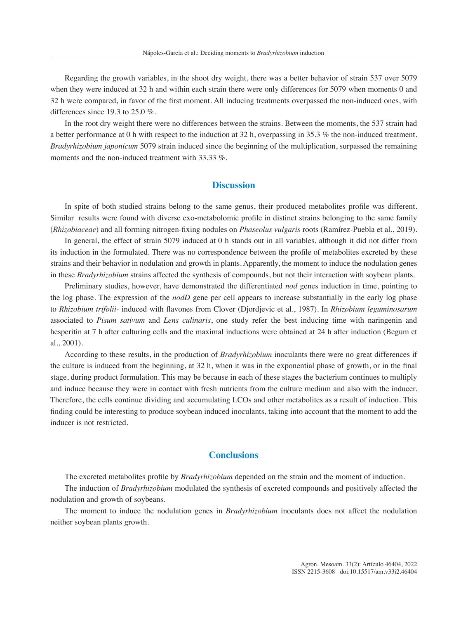Regarding the growth variables, in the shoot dry weight, there was a better behavior of strain 537 over 5079 when they were induced at 32 h and within each strain there were only differences for 5079 when moments 0 and 32 h were compared, in favor of the first moment. All inducing treatments overpassed the non-induced ones, with differences since 19.3 to 25.0 %.

In the root dry weight there were no differences between the strains. Between the moments, the 537 strain had a better performance at 0 h with respect to the induction at 32 h, overpassing in 35.3 % the non-induced treatment. *Bradyrhizobium japonicum* 5079 strain induced since the beginning of the multiplication, surpassed the remaining moments and the non-induced treatment with 33.33 %.

# **Discussion**

In spite of both studied strains belong to the same genus, their produced metabolites profile was different. Similar results were found with diverse exo-metabolomic profile in distinct strains belonging to the same family (*Rhizobiaceae*) and all forming nitrogen-fixing nodules on *Phaseolus vulgaris* roots (Ramírez-Puebla et al., 2019).

In general, the effect of strain 5079 induced at 0 h stands out in all variables, although it did not differ from its induction in the formulated. There was no correspondence between the profile of metabolites excreted by these strains and their behavior in nodulation and growth in plants. Apparently, the moment to induce the nodulation genes in these *Bradyrhizobium* strains affected the synthesis of compounds, but not their interaction with soybean plants.

Preliminary studies, however, have demonstrated the differentiated *nod* genes induction in time, pointing to the log phase. The expression of the *nodD* gene per cell appears to increase substantially in the early log phase to *Rhizobium trifolii-* induced with flavones from Clover (Djordjevic et al., 1987). In *Rhizobium leguminosarum* associated to *Pisum sativum* and *Lens culinaris*, one study refer the best inducing time with naringenin and hesperitin at 7 h after culturing cells and the maximal inductions were obtained at 24 h after induction (Begum et al., 2001).

According to these results, in the production of *Bradyrhizobium* inoculants there were no great differences if the culture is induced from the beginning, at 32 h, when it was in the exponential phase of growth, or in the final stage, during product formulation. This may be because in each of these stages the bacterium continues to multiply and induce because they were in contact with fresh nutrients from the culture medium and also with the inducer. Therefore, the cells continue dividing and accumulating LCOs and other metabolites as a result of induction. This finding could be interesting to produce soybean induced inoculants, taking into account that the moment to add the inducer is not restricted.

## **Conclusions**

The excreted metabolites profile by *Bradyrhizobium* depended on the strain and the moment of induction.

The induction of *Bradyrhizobium* modulated the synthesis of excreted compounds and positively affected the nodulation and growth of soybeans.

The moment to induce the nodulation genes in *Bradyrhizobium* inoculants does not affect the nodulation neither soybean plants growth.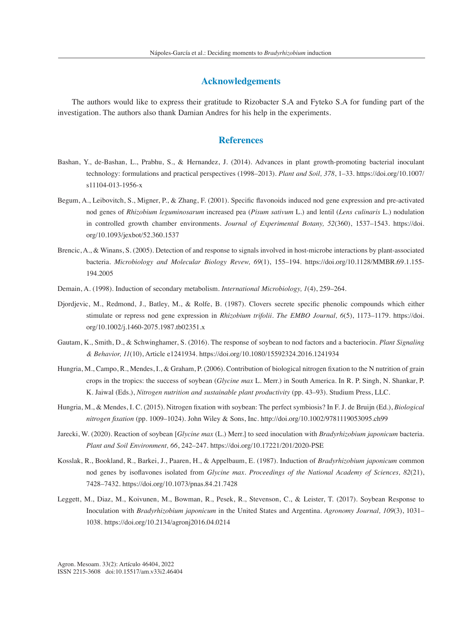# **Acknowledgements**

The authors would like to express their gratitude to Rizobacter S.A and Fyteko S.A for funding part of the investigation. The authors also thank Damian Andres for his help in the experiments.

## **References**

- Bashan, Y., de-Bashan, L., Prabhu, S., & Hernandez, J. (2014). Advances in plant growth-promoting bacterial inoculant technology: formulations and practical perspectives (1998–2013). *Plant and Soil, 378*, 1–33. https://doi.org/10.1007/ s11104-013-1956-x
- Begum, A., Leibovitch, S., Migner, P., & Zhang, F. (2001). Specific flavonoids induced nod gene expression and pre-activated nod genes of *Rhizobium leguminosarum* increased pea (*Pisum sativum* L.) and lentil (*Lens culinaris* L.) nodulation in controlled growth chamber environments. *Journal of Experimental Botany, 52*(360), 1537–1543. https://doi. org/10.1093/jexbot/52.360.1537
- Brencic, A., & Winans, S. (2005). Detection of and response to signals involved in host-microbe interactions by plant-associated bacteria. *Microbiology and Molecular Biology Revew, 69*(1), 155–194. https://doi.org/10.1128/MMBR.69.1.155- 194.2005
- Demain, A. (1998). Induction of secondary metabolism. *International Microbiology, 1*(4), 259–264.
- Djordjevic, M., Redmond, J., Batley, M., & Rolfe, B. (1987). Clovers secrete specific phenolic compounds which either stimulate or repress nod gene expression in *Rhizobium trifolii*. *The EMBO Journal, 6*(5), 1173–1179. https://doi. org/10.1002/j.1460-2075.1987.tb02351.x
- Gautam, K., Smith, D., & Schwinghamer, S. (2016). The response of soybean to nod factors and a bacteriocin. *Plant Signaling & Behavior, 11*(10), Article e1241934. https://doi.org/10.1080/15592324.2016.1241934
- Hungria, M., Campo, R., Mendes, I., & Graham, P. (2006). Contribution of biological nitrogen fixation to the N nutrition of grain crops in the tropics: the success of soybean (*Glycine max* L. Merr.) in South America. In R. P. Singh, N. Shankar, P. K. Jaiwal (Eds.), *Nitrogen nutrition and sustainable plant productivity* (pp. 43–93). Studium Press, LLC.
- Hungria, M., & Mendes, I. C. (2015). Nitrogen fixation with soybean: The perfect symbiosis? In F. J. de Bruijn (Ed.), *Biological nitrogen fixation* (pp. 1009–1024). John Wiley & Sons, Inc. http://doi.org/10.1002/9781119053095.ch99
- Jarecki, W. (2020). Reaction of soybean [*Glycine max* (L.) Merr.] to seed inoculation with *Bradyrhizobium japonicum* bacteria. *Plant and Soil Environment, 66*, 242–247. https://doi.org/10.17221/201/2020-PSE
- Kosslak, R., Bookland, R., Barkei, J., Paaren, H., & Appelbaum, E. (1987). Induction of *Bradyrhizobium japonicum* common nod genes by isoflavones isolated from *Glycine max*. *Proceedings of the National Academy of Sciences, 82*(21), 7428–7432. https://doi.org/10.1073/pnas.84.21.7428
- Leggett, M., Diaz, M., Koivunen, M., Bowman, R., Pesek, R., Stevenson, C., & Leister, T. (2017). Soybean Response to Inoculation with *Bradyrhizobium japonicum* in the United States and Argentina. *Agronomy Journal, 109*(3), 1031– 1038. https://doi.org/10.2134/agronj2016.04.0214